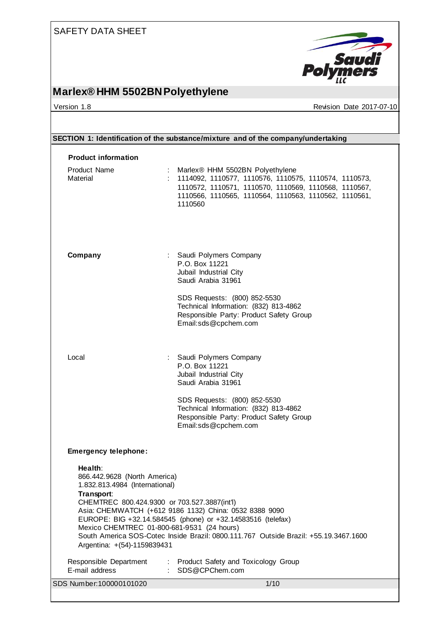

# **Marlex® HHM 5502BN Polyethylene**

version 1.8 Version 1.8 Revision Date 2017-07-10

| SECTION 1: Identification of the substance/mixture and of the company/undertaking                                                                                                                                                                                                                                                                                                                                                     |                                                                                                                                                                                                                                     |  |  |
|---------------------------------------------------------------------------------------------------------------------------------------------------------------------------------------------------------------------------------------------------------------------------------------------------------------------------------------------------------------------------------------------------------------------------------------|-------------------------------------------------------------------------------------------------------------------------------------------------------------------------------------------------------------------------------------|--|--|
| <b>Product information</b>                                                                                                                                                                                                                                                                                                                                                                                                            |                                                                                                                                                                                                                                     |  |  |
| <b>Product Name</b><br>Material                                                                                                                                                                                                                                                                                                                                                                                                       | : Marlex <sup>®</sup> HHM 5502BN Polyethylene<br>1114092, 1110577, 1110576, 1110575, 1110574, 1110573,<br>1110572, 1110571, 1110570, 1110569, 1110568, 1110567,<br>1110566, 1110565, 1110564, 1110563, 1110562, 1110561,<br>1110560 |  |  |
| Company                                                                                                                                                                                                                                                                                                                                                                                                                               | : Saudi Polymers Company<br>P.O. Box 11221<br>Jubail Industrial City<br>Saudi Arabia 31961                                                                                                                                          |  |  |
|                                                                                                                                                                                                                                                                                                                                                                                                                                       | SDS Requests: (800) 852-5530<br>Technical Information: (832) 813-4862<br>Responsible Party: Product Safety Group<br>Email:sds@cpchem.com                                                                                            |  |  |
| Local                                                                                                                                                                                                                                                                                                                                                                                                                                 | : Saudi Polymers Company<br>P.O. Box 11221<br>Jubail Industrial City<br>Saudi Arabia 31961                                                                                                                                          |  |  |
|                                                                                                                                                                                                                                                                                                                                                                                                                                       | SDS Requests: (800) 852-5530<br>Technical Information: (832) 813-4862<br>Responsible Party: Product Safety Group<br>Email:sds@cpchem.com                                                                                            |  |  |
| <b>Emergency telephone:</b>                                                                                                                                                                                                                                                                                                                                                                                                           |                                                                                                                                                                                                                                     |  |  |
| Health:<br>866.442.9628 (North America)<br>1.832.813.4984 (International)<br>Transport:<br>CHEMTREC 800.424.9300 or 703.527.3887(int'l)<br>Asia: CHEMWATCH (+612 9186 1132) China: 0532 8388 9090<br>EUROPE: BIG +32.14.584545 (phone) or +32.14583516 (telefax)<br>Mexico CHEMTREC 01-800-681-9531 (24 hours)<br>South America SOS-Cotec Inside Brazil: 0800.111.767 Outside Brazil: +55.19.3467.1600<br>Argentina: +(54)-1159839431 |                                                                                                                                                                                                                                     |  |  |
| Responsible Department<br>E-mail address                                                                                                                                                                                                                                                                                                                                                                                              | : Product Safety and Toxicology Group<br>SDS@CPChem.com                                                                                                                                                                             |  |  |
| SDS Number: 100000101020                                                                                                                                                                                                                                                                                                                                                                                                              | 1/10                                                                                                                                                                                                                                |  |  |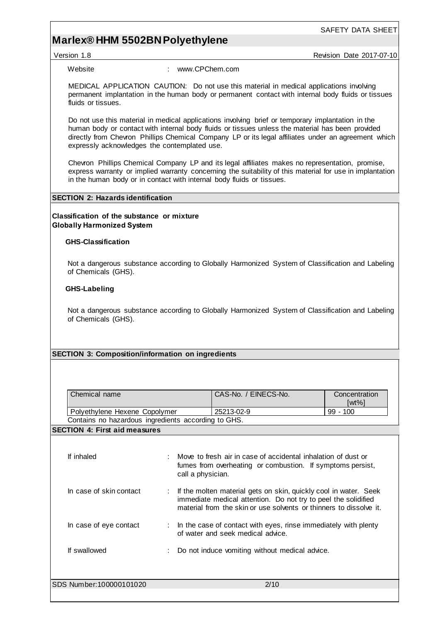# **Marlex® HHM 5502BN Polyethylene**

Version 1.8 **Australian Control Control Control Control Control Control Control Control Control Control Control Control Control Control Control Control Control Control Control Control Control Control Control Control Contro** 

SAFETY DATA SHEET

Website : www.CPChem.com

MEDICAL APPLICATION CAUTION: Do not use this material in medical applications involving permanent implantation in the human body or permanent contact with internal body fluids or tissues fluids or tissues.

Do not use this material in medical applications involving brief or temporary implantation in the human body or contact with internal body fluids or tissues unless the material has been provided directly from Chevron Phillips Chemical Company LP or its legal affiliates under an agreement which expressly acknowledges the contemplated use.

Chevron Phillips Chemical Company LP and its legal affiliates makes no representation, promise, express warranty or implied warranty concerning the suitability of this material for use in implantation in the human body or in contact with internal body fluids or tissues.

### **SECTION 2: Hazards identification**

**Classification of the substance or mixture Globally Harmonized System**

### **GHS-Classification**

Not a dangerous substance according to Globally Harmonized System of Classification and Labeling of Chemicals (GHS).

### **GHS-Labeling**

Not a dangerous substance according to Globally Harmonized System of Classification and Labeling of Chemicals (GHS).

### **SECTION 3: Composition/information on ingredients**

| Chemical name                                       |                                                                                                                                                                                                            | CAS-No. / EINECS-No. | Concentration<br>$[wt\%]$ |
|-----------------------------------------------------|------------------------------------------------------------------------------------------------------------------------------------------------------------------------------------------------------------|----------------------|---------------------------|
| Polyethylene Hexene Copolymer                       |                                                                                                                                                                                                            | 25213-02-9           | $99 - 100$                |
| Contains no hazardous ingredients according to GHS. |                                                                                                                                                                                                            |                      |                           |
| <b>SECTION 4: First aid measures</b>                |                                                                                                                                                                                                            |                      |                           |
| If inhaled                                          | Move to fresh air in case of accidental inhalation of dust or<br>fumes from overheating or combustion. If symptoms persist,<br>call a physician.                                                           |                      |                           |
| In case of skin contact                             | : If the molten material gets on skin, quickly cool in water. Seek<br>immediate medical attention. Do not try to peel the solidified<br>material from the skin or use solvents or thinners to dissolve it. |                      |                           |
| In case of eye contact                              | In the case of contact with eyes, rinse immediately with plenty<br>of water and seek medical advice.                                                                                                       |                      |                           |
| If swallowed                                        | Do not induce vomiting without medical advice.                                                                                                                                                             |                      |                           |
| SDS Number: 100000101020                            |                                                                                                                                                                                                            | 2/10                 |                           |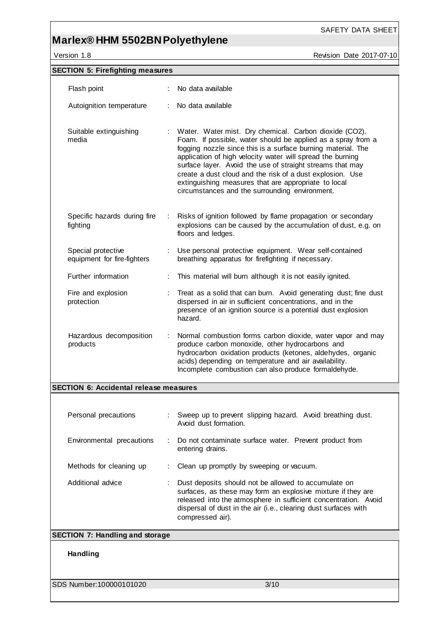# **Marlex® HHM 5502BN Polyethylene**

Version 1.8 **Accord 2017-07-10** Revision Date 2017-07-10

SAFETY DATA SHEET

| <b>SECTION 5: Firefighting measures</b>           |                                                                                                                                                                                                                                                                                                                                                                                                                                                                                          |  |  |  |
|---------------------------------------------------|------------------------------------------------------------------------------------------------------------------------------------------------------------------------------------------------------------------------------------------------------------------------------------------------------------------------------------------------------------------------------------------------------------------------------------------------------------------------------------------|--|--|--|
| Flash point                                       | No data available                                                                                                                                                                                                                                                                                                                                                                                                                                                                        |  |  |  |
| Autoignition temperature                          | No data available                                                                                                                                                                                                                                                                                                                                                                                                                                                                        |  |  |  |
| Suitable extinguishing<br>media                   | Water. Water mist. Dry chemical. Carbon dioxide (CO2).<br>Foam. If possible, water should be applied as a spray from a<br>fogging nozzle since this is a surface burning material. The<br>application of high velocity water will spread the burning<br>surface layer. Avoid the use of straight streams that may<br>create a dust cloud and the risk of a dust explosion. Use<br>extinguishing measures that are appropriate to local<br>circumstances and the surrounding environment. |  |  |  |
| Specific hazards during fire<br>fighting          | Risks of ignition followed by flame propagation or secondary<br>explosions can be caused by the accumulation of dust, e.g. on<br>floors and ledges.                                                                                                                                                                                                                                                                                                                                      |  |  |  |
| Special protective<br>equipment for fire-fighters | Use personal protective equipment. Wear self-contained<br>breathing apparatus for firefighting if necessary.                                                                                                                                                                                                                                                                                                                                                                             |  |  |  |
| Further information                               | This material will burn although it is not easily ignited.                                                                                                                                                                                                                                                                                                                                                                                                                               |  |  |  |
| Fire and explosion<br>protection                  | Treat as a solid that can burn. Avoid generating dust; fine dust<br>dispersed in air in sufficient concentrations, and in the<br>presence of an ignition source is a potential dust explosion<br>hazard.                                                                                                                                                                                                                                                                                 |  |  |  |
| Hazardous decomposition<br>÷<br>products          | Normal combustion forms carbon dioxide, water vapor and may<br>produce carbon monoxide, other hydrocarbons and<br>hydrocarbon oxidation products (ketones, aldehydes, organic<br>acids) depending on temperature and air availability.<br>Incomplete combustion can also produce formaldehyde.                                                                                                                                                                                           |  |  |  |
| <b>SECTION 6: Accidental release measures</b>     |                                                                                                                                                                                                                                                                                                                                                                                                                                                                                          |  |  |  |
| Personal precautions                              | : Sweep up to prevent slipping hazard. Avoid breathing dust.<br>Avoid dust formation.                                                                                                                                                                                                                                                                                                                                                                                                    |  |  |  |
| Environmental precautions                         | Do not contaminate surface water. Prevent product from<br>entering drains.                                                                                                                                                                                                                                                                                                                                                                                                               |  |  |  |
| Methods for cleaning up                           | Clean up promptly by sweeping or vacuum.                                                                                                                                                                                                                                                                                                                                                                                                                                                 |  |  |  |
| Additional advice                                 | Dust deposits should not be allowed to accumulate on<br>surfaces, as these may form an explosive mixture if they are<br>released into the atmosphere in sufficient concentration. Avoid<br>dispersal of dust in the air (i.e., clearing dust surfaces with<br>compressed air).                                                                                                                                                                                                           |  |  |  |
| <b>SECTION 7: Handling and storage</b>            |                                                                                                                                                                                                                                                                                                                                                                                                                                                                                          |  |  |  |
| Handling                                          |                                                                                                                                                                                                                                                                                                                                                                                                                                                                                          |  |  |  |
| SDS Number: 100000101020                          | 3/10                                                                                                                                                                                                                                                                                                                                                                                                                                                                                     |  |  |  |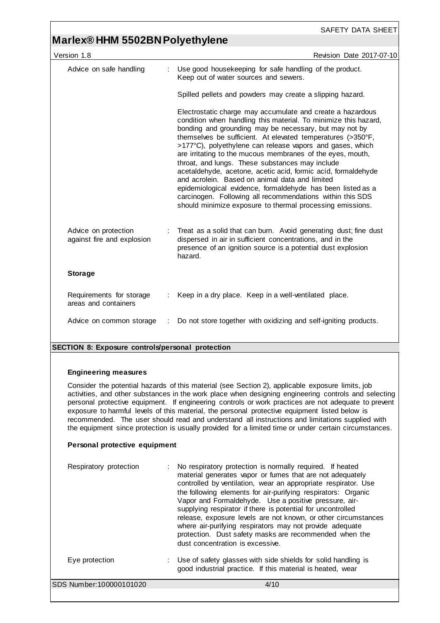## **Marlex® HHM 5502BN Polyethylene**

| Version 1.8                                        |  | Revision Date 2017-07-10                                                                                                                                                                                                                                                                                                                                                                                                                                                                                                                                                                                                                                                                                                                         |
|----------------------------------------------------|--|--------------------------------------------------------------------------------------------------------------------------------------------------------------------------------------------------------------------------------------------------------------------------------------------------------------------------------------------------------------------------------------------------------------------------------------------------------------------------------------------------------------------------------------------------------------------------------------------------------------------------------------------------------------------------------------------------------------------------------------------------|
| Advice on safe handling                            |  | Use good housekeeping for safe handling of the product.<br>Keep out of water sources and sewers.                                                                                                                                                                                                                                                                                                                                                                                                                                                                                                                                                                                                                                                 |
|                                                    |  | Spilled pellets and powders may create a slipping hazard.                                                                                                                                                                                                                                                                                                                                                                                                                                                                                                                                                                                                                                                                                        |
|                                                    |  | Electrostatic charge may accumulate and create a hazardous<br>condition when handling this material. To minimize this hazard,<br>bonding and grounding may be necessary, but may not by<br>themselves be sufficient. At elevated temperatures (>350°F,<br>>177°C), polyethylene can release vapors and gases, which<br>are irritating to the mucous membranes of the eyes, mouth,<br>throat, and lungs. These substances may include<br>acetaldehyde, acetone, acetic acid, formic acid, formaldehyde<br>and acrolein. Based on animal data and limited<br>epidemiological evidence, formaldehyde has been listed as a<br>carcinogen. Following all recommendations within this SDS<br>should minimize exposure to thermal processing emissions. |
| Advice on protection<br>against fire and explosion |  | Treat as a solid that can burn. Avoid generating dust; fine dust<br>dispersed in air in sufficient concentrations, and in the<br>presence of an ignition source is a potential dust explosion<br>hazard.                                                                                                                                                                                                                                                                                                                                                                                                                                                                                                                                         |
| <b>Storage</b>                                     |  |                                                                                                                                                                                                                                                                                                                                                                                                                                                                                                                                                                                                                                                                                                                                                  |
| Requirements for storage<br>areas and containers   |  | Keep in a dry place. Keep in a well-ventilated place.                                                                                                                                                                                                                                                                                                                                                                                                                                                                                                                                                                                                                                                                                            |
| Advice on common storage                           |  | Do not store together with oxidizing and self-igniting products.                                                                                                                                                                                                                                                                                                                                                                                                                                                                                                                                                                                                                                                                                 |
|                                                    |  |                                                                                                                                                                                                                                                                                                                                                                                                                                                                                                                                                                                                                                                                                                                                                  |

## **SECTION 8: Exposure controls/personal protection**

### **Engineering measures**

Consider the potential hazards of this material (see Section 2), applicable exposure limits, job activities, and other substances in the work place when designing engineering controls and selecting personal protective equipment. If engineering controls or work practices are not adequate to prevent exposure to harmful levels of this material, the personal protective equipment listed below is recommended. The user should read and understand all instructions and limitations supplied with the equipment since protection is usually provided for a limited time or under certain circumstances.

## **Personal protective equipment**

| Respiratory protection  | : No respiratory protection is normally required. If heated<br>material generates vapor or fumes that are not adequately<br>controlled by ventilation, wear an appropriate respirator. Use<br>the following elements for air-purifying respirators: Organic<br>Vapor and Formaldehyde. Use a positive pressure, air-<br>supplying respirator if there is potential for uncontrolled<br>release, exposure levels are not known, or other circumstances<br>where air-purifying respirators may not provide adequate<br>protection. Dust safety masks are recommended when the<br>dust concentration is excessive. |
|-------------------------|-----------------------------------------------------------------------------------------------------------------------------------------------------------------------------------------------------------------------------------------------------------------------------------------------------------------------------------------------------------------------------------------------------------------------------------------------------------------------------------------------------------------------------------------------------------------------------------------------------------------|
| Eye protection          | : Use of safety glasses with side shields for solid handling is<br>good industrial practice. If this material is heated, wear                                                                                                                                                                                                                                                                                                                                                                                                                                                                                   |
| SDS Number:100000101020 | 4/10                                                                                                                                                                                                                                                                                                                                                                                                                                                                                                                                                                                                            |
|                         |                                                                                                                                                                                                                                                                                                                                                                                                                                                                                                                                                                                                                 |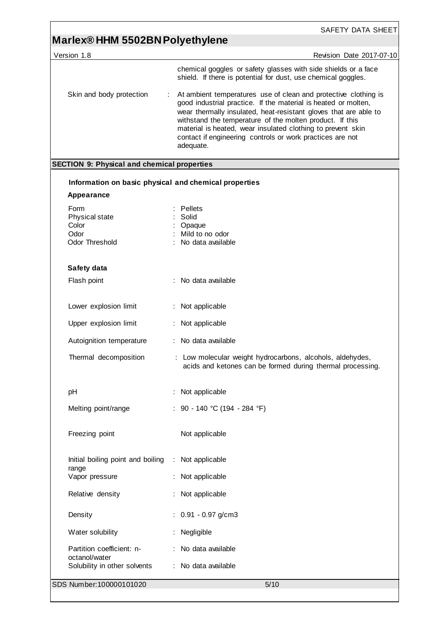# **Marlex® HHM 5502BN Polyethylene**

| Version 1.8                                           | Revision Date 2017-07-10                                                                                                                                                                                                                                                                                                                                                                                   |
|-------------------------------------------------------|------------------------------------------------------------------------------------------------------------------------------------------------------------------------------------------------------------------------------------------------------------------------------------------------------------------------------------------------------------------------------------------------------------|
|                                                       | chemical goggles or safety glasses with side shields or a face<br>shield. If there is potential for dust, use chemical goggles.                                                                                                                                                                                                                                                                            |
| Skin and body protection                              | At ambient temperatures use of clean and protective clothing is<br>good industrial practice. If the material is heated or molten,<br>wear thermally insulated, heat-resistant gloves that are able to<br>withstand the temperature of the molten product. If this<br>material is heated, wear insulated clothing to prevent skin<br>contact if engineering controls or work practices are not<br>adequate. |
| <b>SECTION 9: Physical and chemical properties</b>    |                                                                                                                                                                                                                                                                                                                                                                                                            |
| Information on basic physical and chemical properties |                                                                                                                                                                                                                                                                                                                                                                                                            |
| <b>Appearance</b>                                     |                                                                                                                                                                                                                                                                                                                                                                                                            |
| Form<br>Physical state<br>Color                       | Pellets<br>Solid<br>Opaque                                                                                                                                                                                                                                                                                                                                                                                 |
| Odor<br><b>Odor Threshold</b>                         | Mild to no odor<br>No data available                                                                                                                                                                                                                                                                                                                                                                       |
| Safety data                                           |                                                                                                                                                                                                                                                                                                                                                                                                            |
| Flash point                                           | : No data available                                                                                                                                                                                                                                                                                                                                                                                        |
| Lower explosion limit                                 | : Not applicable                                                                                                                                                                                                                                                                                                                                                                                           |
| Upper explosion limit                                 | Not applicable                                                                                                                                                                                                                                                                                                                                                                                             |
| Autoignition temperature                              | : No data available                                                                                                                                                                                                                                                                                                                                                                                        |
| Thermal decomposition                                 | : Low molecular weight hydrocarbons, alcohols, aldehydes,<br>acids and ketones can be formed during thermal processing.                                                                                                                                                                                                                                                                                    |
| pH                                                    | Not applicable                                                                                                                                                                                                                                                                                                                                                                                             |
| Melting point/range                                   | : 90 - 140 °C (194 - 284 °F)                                                                                                                                                                                                                                                                                                                                                                               |
| Freezing point                                        | Not applicable                                                                                                                                                                                                                                                                                                                                                                                             |
| Initial boiling point and boiling<br>range            | Not applicable<br>÷.                                                                                                                                                                                                                                                                                                                                                                                       |
| Vapor pressure                                        | Not applicable                                                                                                                                                                                                                                                                                                                                                                                             |
| Relative density                                      | Not applicable                                                                                                                                                                                                                                                                                                                                                                                             |
| Density                                               | $: 0.91 - 0.97$ g/cm3                                                                                                                                                                                                                                                                                                                                                                                      |
| Water solubility                                      | Negligible                                                                                                                                                                                                                                                                                                                                                                                                 |
| Partition coefficient: n-<br>octanol/water            | : No data available                                                                                                                                                                                                                                                                                                                                                                                        |
| Solubility in other solvents                          | : No data available                                                                                                                                                                                                                                                                                                                                                                                        |
| SDS Number: 100000101020                              | 5/10                                                                                                                                                                                                                                                                                                                                                                                                       |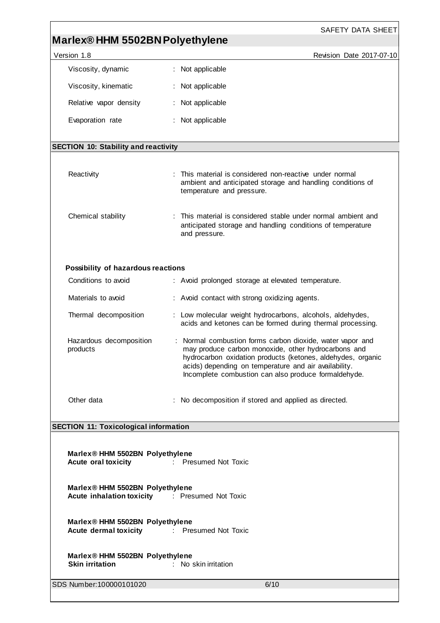| Marlex® HHM 5502BN Polyethylene                                                        | SAFETY DATA SHEET                                                                                                                                                                                                                                                                                |  |  |
|----------------------------------------------------------------------------------------|--------------------------------------------------------------------------------------------------------------------------------------------------------------------------------------------------------------------------------------------------------------------------------------------------|--|--|
| Version 1.8                                                                            | Revision Date 2017-07-10                                                                                                                                                                                                                                                                         |  |  |
| Viscosity, dynamic                                                                     | : Not applicable                                                                                                                                                                                                                                                                                 |  |  |
| Viscosity, kinematic                                                                   | : Not applicable                                                                                                                                                                                                                                                                                 |  |  |
| Relative vapor density                                                                 | : Not applicable                                                                                                                                                                                                                                                                                 |  |  |
| Evaporation rate                                                                       | : Not applicable                                                                                                                                                                                                                                                                                 |  |  |
| <b>SECTION 10: Stability and reactivity</b>                                            |                                                                                                                                                                                                                                                                                                  |  |  |
| Reactivity                                                                             | : This material is considered non-reactive under normal<br>ambient and anticipated storage and handling conditions of<br>temperature and pressure.                                                                                                                                               |  |  |
| Chemical stability                                                                     | : This material is considered stable under normal ambient and<br>anticipated storage and handling conditions of temperature<br>and pressure.                                                                                                                                                     |  |  |
| Possibility of hazardous reactions                                                     |                                                                                                                                                                                                                                                                                                  |  |  |
| Conditions to avoid                                                                    | : Avoid prolonged storage at elevated temperature.                                                                                                                                                                                                                                               |  |  |
| Materials to avoid                                                                     | : Avoid contact with strong oxidizing agents.                                                                                                                                                                                                                                                    |  |  |
| Thermal decomposition                                                                  | : Low molecular weight hydrocarbons, alcohols, aldehydes,<br>acids and ketones can be formed during thermal processing.                                                                                                                                                                          |  |  |
| Hazardous decomposition<br>products                                                    | : Normal combustion forms carbon dioxide, water vapor and<br>may produce carbon monoxide, other hydrocarbons and<br>hydrocarbon oxidation products (ketones, aldehydes, organic<br>acids) depending on temperature and air availability.<br>Incomplete combustion can also produce formaldehyde. |  |  |
| Other data                                                                             | : No decomposition if stored and applied as directed.                                                                                                                                                                                                                                            |  |  |
| <b>SECTION 11: Toxicological information</b>                                           |                                                                                                                                                                                                                                                                                                  |  |  |
| Marlex® HHM 5502BN Polyethylene<br><b>Acute oral toxicity</b><br>: Presumed Not Toxic  |                                                                                                                                                                                                                                                                                                  |  |  |
| Marlex® HHM 5502BN Polyethylene<br><b>Acute inhalation toxicity Fresumed Not Toxic</b> |                                                                                                                                                                                                                                                                                                  |  |  |
| Marlex® HHM 5502BN Polyethylene<br><b>Acute dermal toxicity</b> : Presumed Not Toxic   |                                                                                                                                                                                                                                                                                                  |  |  |
| Marlex® HHM 5502BN Polyethylene<br><b>Skin irritation</b><br>: No skin irritation      |                                                                                                                                                                                                                                                                                                  |  |  |
| SDS Number: 100000101020                                                               | 6/10                                                                                                                                                                                                                                                                                             |  |  |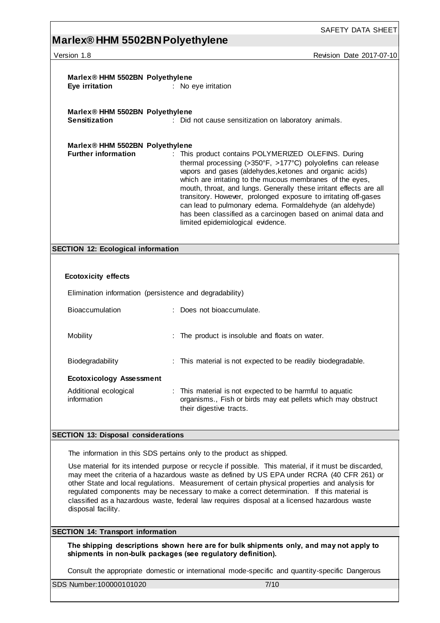# **Marlex® HHM 5502BN Polyethylene**

Version 1.8 **Version 1.8** Revision Date 2017-07-10

| Marlex® HHM 5502BN Polyethylene<br>Eye irritation                                                                                                                                                                                                                                                                                                                                                                                                                                                   | : No eye irritation                                                                                                                                                                                                                                                                                                                                                                                                                                                                                                                               |  |
|-----------------------------------------------------------------------------------------------------------------------------------------------------------------------------------------------------------------------------------------------------------------------------------------------------------------------------------------------------------------------------------------------------------------------------------------------------------------------------------------------------|---------------------------------------------------------------------------------------------------------------------------------------------------------------------------------------------------------------------------------------------------------------------------------------------------------------------------------------------------------------------------------------------------------------------------------------------------------------------------------------------------------------------------------------------------|--|
| Marlex® HHM 5502BN Polyethylene<br><b>Sensitization</b>                                                                                                                                                                                                                                                                                                                                                                                                                                             | : Did not cause sensitization on laboratory animals.                                                                                                                                                                                                                                                                                                                                                                                                                                                                                              |  |
| Marlex® HHM 5502BN Polyethylene<br><b>Further information</b>                                                                                                                                                                                                                                                                                                                                                                                                                                       | This product contains POLYMERIZED OLEFINS. During<br>thermal processing (>350°F, >177°C) polyolefins can release<br>vapors and gases (aldehydes, ketones and organic acids)<br>which are irritating to the mucous membranes of the eyes,<br>mouth, throat, and lungs. Generally these irritant effects are all<br>transitory. However, prolonged exposure to irritating off-gases<br>can lead to pulmonary edema. Formaldehyde (an aldehyde)<br>has been classified as a carcinogen based on animal data and<br>limited epidemiological evidence. |  |
| <b>SECTION 12: Ecological information</b>                                                                                                                                                                                                                                                                                                                                                                                                                                                           |                                                                                                                                                                                                                                                                                                                                                                                                                                                                                                                                                   |  |
|                                                                                                                                                                                                                                                                                                                                                                                                                                                                                                     |                                                                                                                                                                                                                                                                                                                                                                                                                                                                                                                                                   |  |
| <b>Ecotoxicity effects</b>                                                                                                                                                                                                                                                                                                                                                                                                                                                                          |                                                                                                                                                                                                                                                                                                                                                                                                                                                                                                                                                   |  |
|                                                                                                                                                                                                                                                                                                                                                                                                                                                                                                     | Elimination information (persistence and degradability)                                                                                                                                                                                                                                                                                                                                                                                                                                                                                           |  |
| <b>Bioaccumulation</b>                                                                                                                                                                                                                                                                                                                                                                                                                                                                              | : Does not bioaccumulate.                                                                                                                                                                                                                                                                                                                                                                                                                                                                                                                         |  |
| Mobility                                                                                                                                                                                                                                                                                                                                                                                                                                                                                            | : The product is insoluble and floats on water.                                                                                                                                                                                                                                                                                                                                                                                                                                                                                                   |  |
| Biodegradability                                                                                                                                                                                                                                                                                                                                                                                                                                                                                    | : This material is not expected to be readily biodegradable.                                                                                                                                                                                                                                                                                                                                                                                                                                                                                      |  |
| <b>Ecotoxicology Assessment</b>                                                                                                                                                                                                                                                                                                                                                                                                                                                                     |                                                                                                                                                                                                                                                                                                                                                                                                                                                                                                                                                   |  |
| Additional ecological<br>information                                                                                                                                                                                                                                                                                                                                                                                                                                                                | : This material is not expected to be harmful to aquatic<br>organisms., Fish or birds may eat pellets which may obstruct<br>their digestive tracts.                                                                                                                                                                                                                                                                                                                                                                                               |  |
| <b>SECTION 13: Disposal considerations</b>                                                                                                                                                                                                                                                                                                                                                                                                                                                          |                                                                                                                                                                                                                                                                                                                                                                                                                                                                                                                                                   |  |
| The information in this SDS pertains only to the product as shipped.                                                                                                                                                                                                                                                                                                                                                                                                                                |                                                                                                                                                                                                                                                                                                                                                                                                                                                                                                                                                   |  |
| Use material for its intended purpose or recycle if possible. This material, if it must be discarded,<br>may meet the criteria of a hazardous waste as defined by US EPA under RCRA (40 CFR 261) or<br>other State and local regulations. Measurement of certain physical properties and analysis for<br>regulated components may be necessary to make a correct determination. If this material is<br>classified as a hazardous waste, federal law requires disposal at a licensed hazardous waste |                                                                                                                                                                                                                                                                                                                                                                                                                                                                                                                                                   |  |

**SECTION 14: Transport information**

**The shipping descriptions shown here are for bulk shipments only, and may not apply to shipments in non-bulk packages (see regulatory definition).**

Consult the appropriate domestic or international mode-specific and quantity-specific Dangerous

SDS Number:100000101020 7/10

disposal facility.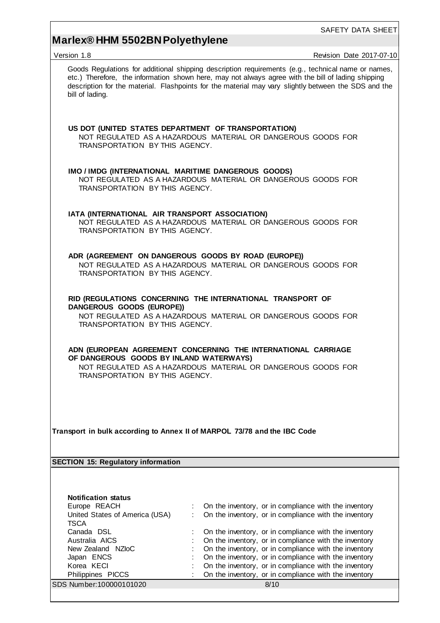# **Marlex® HHM 5502BN Polyethylene**

| Version 1.8                                                                                                                                                                                                | Revision Date 2017-07-10                                                                                                                                                                                                                                                                                         |  |  |  |  |
|------------------------------------------------------------------------------------------------------------------------------------------------------------------------------------------------------------|------------------------------------------------------------------------------------------------------------------------------------------------------------------------------------------------------------------------------------------------------------------------------------------------------------------|--|--|--|--|
| bill of lading.                                                                                                                                                                                            | Goods Regulations for additional shipping description requirements (e.g., technical name or names,<br>etc.) Therefore, the information shown here, may not always agree with the bill of lading shipping<br>description for the material. Flashpoints for the material may vary slightly between the SDS and the |  |  |  |  |
| US DOT (UNITED STATES DEPARTMENT OF TRANSPORTATION)<br>TRANSPORTATION BY THIS AGENCY.                                                                                                                      | NOT REGULATED AS A HAZARDOUS MATERIAL OR DANGEROUS GOODS FOR                                                                                                                                                                                                                                                     |  |  |  |  |
| IMO / IMDG (INTERNATIONAL MARITIME DANGEROUS GOODS)<br>TRANSPORTATION BY THIS AGENCY.                                                                                                                      | NOT REGULATED AS A HAZARDOUS MATERIAL OR DANGEROUS GOODS FOR                                                                                                                                                                                                                                                     |  |  |  |  |
|                                                                                                                                                                                                            | IATA (INTERNATIONAL AIR TRANSPORT ASSOCIATION)<br>NOT REGULATED AS A HAZARDOUS MATERIAL OR DANGEROUS GOODS FOR<br>TRANSPORTATION BY THIS AGENCY.                                                                                                                                                                 |  |  |  |  |
| ADR (AGREEMENT ON DANGEROUS GOODS BY ROAD (EUROPE))<br>TRANSPORTATION BY THIS AGENCY.                                                                                                                      | NOT REGULATED AS A HAZARDOUS MATERIAL OR DANGEROUS GOODS FOR                                                                                                                                                                                                                                                     |  |  |  |  |
| RID (REGULATIONS CONCERNING THE INTERNATIONAL TRANSPORT OF<br>DANGEROUS GOODS (EUROPE))<br>NOT REGULATED AS A HAZARDOUS MATERIAL OR DANGEROUS GOODS FOR<br>TRANSPORTATION BY THIS AGENCY.                  |                                                                                                                                                                                                                                                                                                                  |  |  |  |  |
| ADN (EUROPEAN AGREEMENT CONCERNING THE INTERNATIONAL CARRIAGE<br>OF DANGEROUS GOODS BY INLAND WATERWAYS)<br>NOT REGULATED AS A HAZARDOUS MATERIAL OR DANGEROUS GOODS FOR<br>TRANSPORTATION BY THIS AGENCY. |                                                                                                                                                                                                                                                                                                                  |  |  |  |  |
| Transport in bulk according to Annex II of MARPOL 73/78 and the IBC Code                                                                                                                                   |                                                                                                                                                                                                                                                                                                                  |  |  |  |  |
| <b>SECTION 15: Regulatory information</b>                                                                                                                                                                  |                                                                                                                                                                                                                                                                                                                  |  |  |  |  |
|                                                                                                                                                                                                            |                                                                                                                                                                                                                                                                                                                  |  |  |  |  |
| <b>Notification status</b>                                                                                                                                                                                 |                                                                                                                                                                                                                                                                                                                  |  |  |  |  |
| Europe REACH                                                                                                                                                                                               | On the inventory, or in compliance with the inventory                                                                                                                                                                                                                                                            |  |  |  |  |
| United States of America (USA)<br><b>TSCA</b>                                                                                                                                                              | On the inventory, or in compliance with the inventory                                                                                                                                                                                                                                                            |  |  |  |  |
| Canada DSL                                                                                                                                                                                                 | On the inventory, or in compliance with the inventory                                                                                                                                                                                                                                                            |  |  |  |  |
| Australia AICS                                                                                                                                                                                             | On the inventory, or in compliance with the inventory                                                                                                                                                                                                                                                            |  |  |  |  |
| New Zealand NZloC                                                                                                                                                                                          | On the inventory, or in compliance with the inventory                                                                                                                                                                                                                                                            |  |  |  |  |
| Japan ENCS                                                                                                                                                                                                 | On the inventory, or in compliance with the inventory                                                                                                                                                                                                                                                            |  |  |  |  |
| Korea KECI                                                                                                                                                                                                 | On the inventory, or in compliance with the inventory                                                                                                                                                                                                                                                            |  |  |  |  |
| Philippines PICCS                                                                                                                                                                                          | On the inventory, or in compliance with the inventory                                                                                                                                                                                                                                                            |  |  |  |  |
| SDS Number:100000101020                                                                                                                                                                                    | 8/10                                                                                                                                                                                                                                                                                                             |  |  |  |  |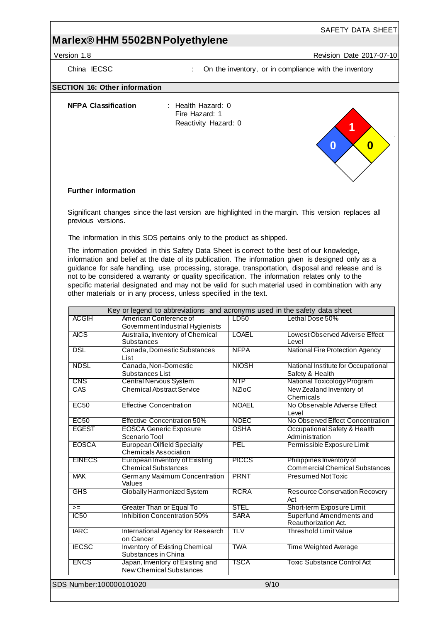## **Marlex® HHM 5502BN Polyethylene**

Version 1.8 Revision Date 2017-07-10

China IECSC : On the inventory, or in compliance with the inventory

#### **SECTION 16: Other information**

**NFPA Classification** : Health Hazard: 0

Fire Hazard: 1 Reactivity Hazard: 0



### **Further information**

Significant changes since the last version are highlighted in the margin. This version replaces all previous versions.

The information in this SDS pertains only to the product as shipped.

The information provided in this Safety Data Sheet is correct to the best of our knowledge, information and belief at the date of its publication. The information given is designed only as a guidance for safe handling, use, processing, storage, transportation, disposal and release and is not to be considered a warranty or quality specification. The information relates only to the specific material designated and may not be valid for such material used in combination with any other materials or in any process, unless specified in the text.

| <b>ACGIH</b>             | Key or legend to abbreviations and acronyms used in the safety data sheet<br>American Conference of | LD50         | Lethal Dose 50%                                                   |
|--------------------------|-----------------------------------------------------------------------------------------------------|--------------|-------------------------------------------------------------------|
|                          | Government Industrial Hygienists                                                                    |              |                                                                   |
| <b>AICS</b>              | Australia, Inventory of Chemical<br>Substances                                                      | <b>LOAEL</b> | Lowest Observed Adverse Effect<br>Level                           |
| <b>DSL</b>               | Canada, Domestic Substances<br>List                                                                 | <b>NFPA</b>  | National Fire Protection Agency                                   |
| <b>NDSL</b>              | Canada, Non-Domestic<br>Substances List                                                             | <b>NIOSH</b> | National Institute for Occupational<br>Safety & Health            |
| <b>CNS</b>               | <b>Central Nervous System</b>                                                                       | <b>NTP</b>   | National Toxicology Program                                       |
| CAS                      | <b>Chemical Abstract Service</b>                                                                    | <b>NZIoC</b> | New Zealand Inventory of<br>Chemicals                             |
| <b>EC50</b>              | <b>Effective Concentration</b>                                                                      | <b>NOAEL</b> | No Observable Adverse Effect<br>Level                             |
| <b>EC50</b>              | <b>Effective Concentration 50%</b>                                                                  | <b>NOEC</b>  | No Observed Effect Concentration                                  |
| <b>EGEST</b>             | <b>EOSCA Generic Exposure</b><br>Scenario Tool                                                      | <b>OSHA</b>  | Occupational Safety & Health<br>Administration                    |
| <b>EOSCA</b>             | <b>European Oilfield Specialty</b><br>Chemicals Association                                         | PEL          | Permissible Exposure Limit                                        |
| <b>EINECS</b>            | <b>European Inventory of Existing</b><br><b>Chemical Substances</b>                                 | <b>PICCS</b> | Philippines Inventory of<br><b>Commercial Chemical Substances</b> |
| <b>MAK</b>               | Germany Maximum Concentration<br>Values                                                             | <b>PRNT</b>  | Presumed Not Toxic                                                |
| GHS                      | Globally Harmonized System                                                                          | <b>RCRA</b>  | <b>Resource Conservation Recovery</b><br>Act                      |
| $>=$                     | <b>Greater Than or Equal To</b>                                                                     | <b>STEL</b>  | Short-term Exposure Limit                                         |
| IC50                     | Inhibition Concentration 50%                                                                        | <b>SARA</b>  | Superfund Amendments and<br>Reauthorization Act.                  |
| <b>IARC</b>              | International Agency for Research<br>on Cancer                                                      | <b>TLV</b>   | <b>Threshold Limit Value</b>                                      |
| <b>IECSC</b>             | <b>Inventory of Existing Chemical</b><br>Substances in China                                        | <b>TWA</b>   | <b>Time Weighted Average</b>                                      |
| <b>ENCS</b>              | Japan, Inventory of Existing and<br><b>New Chemical Substances</b>                                  | TSCA         | Toxic Substance Control Act                                       |
| SDS Number: 100000101020 |                                                                                                     | 9/10         |                                                                   |